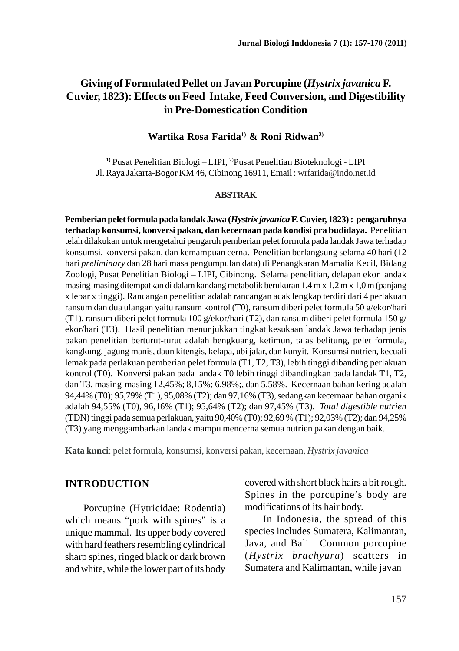# **Giving of Formulated Pellet on Javan Porcupine (***Hystrix javanica* **F. Cuvier, 1823): Effects on Feed Intake, Feed Conversion, and Digestibility in Pre-Domestication Condition**

#### **Wartika Rosa Farida1) & Roni Ridwan2)**

**1)** Pusat Penelitian Biologi – LIPI, 2)Pusat Penelitian Bioteknologi - LIPI Jl. Raya Jakarta-Bogor KM 46, Cibinong 16911, Email : wrfarida@indo.net.id

#### **ABSTRAK**

**Pemberian pelet formula pada landak Jawa (***Hystrix javanica* **F. Cuvier, 1823) : pengaruhnya terhadap konsumsi, konversi pakan, dan kecernaan pada kondisi pra budidaya.** Penelitian telah dilakukan untuk mengetahui pengaruh pemberian pelet formula pada landak Jawa terhadap konsumsi, konversi pakan, dan kemampuan cerna. Penelitian berlangsung selama 40 hari (12 hari *preliminary* dan 28 hari masa pengumpulan data) di Penangkaran Mamalia Kecil, Bidang Zoologi, Pusat Penelitian Biologi – LIPI, Cibinong. Selama penelitian, delapan ekor landak masing-masing ditempatkan di dalam kandang metabolik berukuran 1,4 m x 1,2 m x 1,0 m (panjang x lebar x tinggi). Rancangan penelitian adalah rancangan acak lengkap terdiri dari 4 perlakuan ransum dan dua ulangan yaitu ransum kontrol (T0), ransum diberi pelet formula 50 g/ekor/hari (T1), ransum diberi pelet formula 100 g/ekor/hari (T2), dan ransum diberi pelet formula 150 g/ ekor/hari (T3). Hasil penelitian menunjukkan tingkat kesukaan landak Jawa terhadap jenis pakan penelitian berturut-turut adalah bengkuang, ketimun, talas belitung, pelet formula, kangkung, jagung manis, daun kitengis, kelapa, ubi jalar, dan kunyit. Konsumsi nutrien, kecuali lemak pada perlakuan pemberian pelet formula (T1, T2, T3), lebih tinggi dibanding perlakuan kontrol (T0). Konversi pakan pada landak T0 lebih tinggi dibandingkan pada landak T1, T2, dan T3, masing-masing 12,45%; 8,15%; 6,98%;, dan 5,58%. Kecernaan bahan kering adalah 94,44% (T0); 95,79% (T1), 95,08% (T2); dan 97,16% (T3), sedangkan kecernaan bahan organik adalah 94,55% (T0), 96,16% (T1); 95,64% (T2); dan 97,45% (T3). *Total digestible nutrien* (TDN) tinggi pada semua perlakuan, yaitu 90,40% (T0); 92,69 % (T1); 92,03% (T2); dan 94,25% (T3) yang menggambarkan landak mampu mencerna semua nutrien pakan dengan baik.

**Kata kunci**: pelet formula, konsumsi, konversi pakan, kecernaan, *Hystrix javanica*

#### **INTRODUCTION**

Porcupine (Hytricidae: Rodentia) which means "pork with spines" is a unique mammal. Its upper body covered with hard feathers resembling cylindrical sharp spines, ringed black or dark brown and white, while the lower part of its body covered with short black hairs a bit rough. Spines in the porcupine's body are modifications of its hair body.

In Indonesia, the spread of this species includes Sumatera, Kalimantan, Java, and Bali. Common porcupine (*Hystrix brachyura*) scatters in Sumatera and Kalimantan, while javan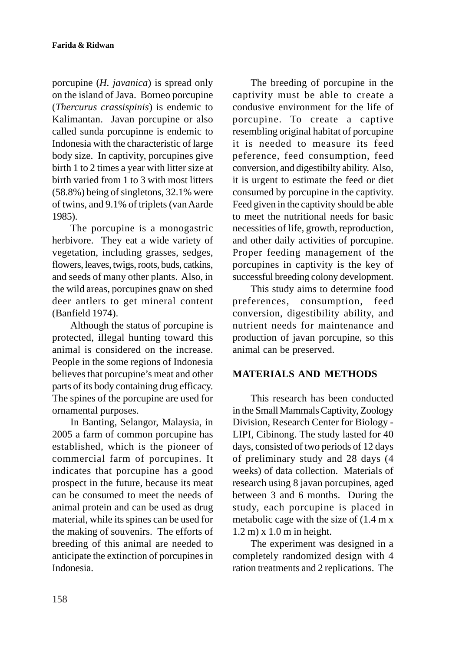porcupine (*H. javanica*) is spread only on the island of Java. Borneo porcupine (*Thercurus crassispinis*) is endemic to Kalimantan. Javan porcupine or also called sunda porcupinne is endemic to Indonesia with the characteristic of large body size. In captivity, porcupines give birth 1 to 2 times a year with litter size at birth varied from 1 to 3 with most litters (58.8%) being of singletons, 32.1% were of twins, and 9.1% of triplets (van Aarde 1985).

The porcupine is a monogastric herbivore. They eat a wide variety of vegetation, including grasses, sedges, flowers, leaves, twigs, roots, buds, catkins, and seeds of many other plants. Also, in the wild areas, porcupines gnaw on shed deer antlers to get mineral content (Banfield 1974).

Although the status of porcupine is protected, illegal hunting toward this animal is considered on the increase. People in the some regions of Indonesia believes that porcupine's meat and other parts of its body containing drug efficacy. The spines of the porcupine are used for ornamental purposes.

In Banting, Selangor, Malaysia, in 2005 a farm of common porcupine has established, which is the pioneer of commercial farm of porcupines. It indicates that porcupine has a good prospect in the future, because its meat can be consumed to meet the needs of animal protein and can be used as drug material, while its spines can be used for the making of souvenirs. The efforts of breeding of this animal are needed to anticipate the extinction of porcupines in Indonesia.

The breeding of porcupine in the captivity must be able to create a condusive environment for the life of porcupine. To create a captive resembling original habitat of porcupine it is needed to measure its feed peference, feed consumption, feed conversion, and digestibilty ability. Also, it is urgent to estimate the feed or diet consumed by porcupine in the captivity. Feed given in the captivity should be able to meet the nutritional needs for basic necessities of life, growth, reproduction, and other daily activities of porcupine. Proper feeding management of the porcupines in captivity is the key of successful breeding colony development.

This study aims to determine food preferences, consumption, feed conversion, digestibility ability, and nutrient needs for maintenance and production of javan porcupine, so this animal can be preserved.

# **MATERIALS AND METHODS**

This research has been conducted in the Small Mammals Captivity, Zoology Division, Research Center for Biology - LIPI, Cibinong. The study lasted for 40 days, consisted of two periods of 12 days of preliminary study and 28 days (4 weeks) of data collection. Materials of research using 8 javan porcupines, aged between 3 and 6 months. During the study, each porcupine is placed in metabolic cage with the size of (1.4 m x 1.2 m) x 1.0 m in height.

The experiment was designed in a completely randomized design with 4 ration treatments and 2 replications. The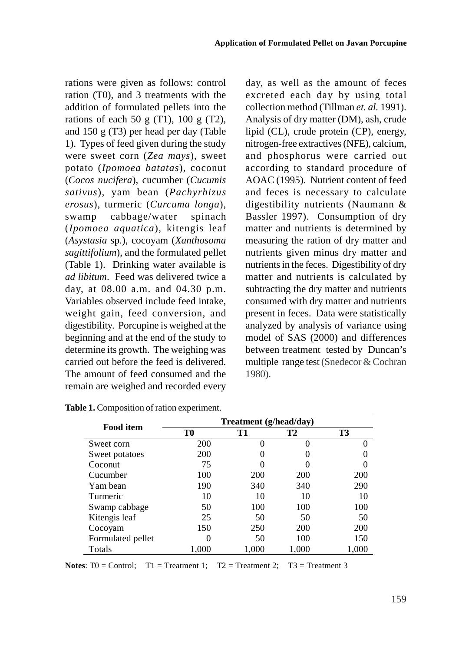rations were given as follows: control ration (T0), and 3 treatments with the addition of formulated pellets into the rations of each 50 g (T1),  $100 \text{ g}$  (T2), and 150 g (T3) per head per day (Table 1). Types of feed given during the study were sweet corn (*Zea mays*), sweet potato (*Ipomoea batatas*), coconut (*Cocos nucifera*), cucumber (*Cucumis sativus*), yam bean (*Pachyrhizus erosus*), turmeric (*Curcuma longa*), swamp cabbage/water spinach (*Ipomoea aquatica*), kitengis leaf (*Asystasia* sp.), cocoyam (*Xanthosoma sagittifolium*), and the formulated pellet (Table 1). Drinking water available is *ad libitum*. Feed was delivered twice a day, at 08.00 a.m. and 04.30 p.m. Variables observed include feed intake, weight gain, feed conversion, and digestibility. Porcupine is weighed at the beginning and at the end of the study to determine its growth. The weighing was carried out before the feed is delivered. The amount of feed consumed and the remain are weighed and recorded every day, as well as the amount of feces excreted each day by using total collection method (Tillman *et. al.* 1991). Analysis of dry matter (DM), ash, crude lipid (CL), crude protein (CP), energy, nitrogen-free extractives (NFE), calcium, and phosphorus were carried out according to standard procedure of AOAC (1995). Nutrient content of feed and feces is necessary to calculate digestibility nutrients (Naumann & Bassler 1997). Consumption of dry matter and nutrients is determined by measuring the ration of dry matter and nutrients given minus dry matter and nutrients in the feces. Digestibility of dry matter and nutrients is calculated by subtracting the dry matter and nutrients consumed with dry matter and nutrients present in feces. Data were statistically analyzed by analysis of variance using model of SAS (2000) and differences between treatment tested by Duncan's multiple range test (Snedecor & Cochran 1980).

|                   | Treatment (g/head/day) |            |            |       |  |  |  |
|-------------------|------------------------|------------|------------|-------|--|--|--|
| <b>Food item</b>  | T0                     | T1         | Т2         | T3    |  |  |  |
| Sweet corn        | 200                    |            | 0          |       |  |  |  |
| Sweet potatoes    | 200                    |            |            |       |  |  |  |
| Coconut           | 75                     |            |            |       |  |  |  |
| Cucumber          | 100                    | <b>200</b> | <b>200</b> | 200   |  |  |  |
| Yam bean          | 190                    | 340        | 340        | 290   |  |  |  |
| Turmeric          | 10                     | 10         | 10         | 10    |  |  |  |
| Swamp cabbage     | 50                     | 100        | 100        | 100   |  |  |  |
| Kitengis leaf     | 25                     | 50         | 50         | 50    |  |  |  |
| Cocoyam           | 150                    | 250        | 200        | 200   |  |  |  |
| Formulated pellet |                        | 50         | 100        | 150   |  |  |  |
| Totals            | 1.000                  | 1.000      | 1,000      | 1,000 |  |  |  |

| Table 1. Composition of ration experiment. |  |  |
|--------------------------------------------|--|--|
|--------------------------------------------|--|--|

**Notes:**  $T0 =$  Control;  $T1 =$  Treatment 1;  $T2 =$  Treatment 2;  $T3 =$  Treatment 3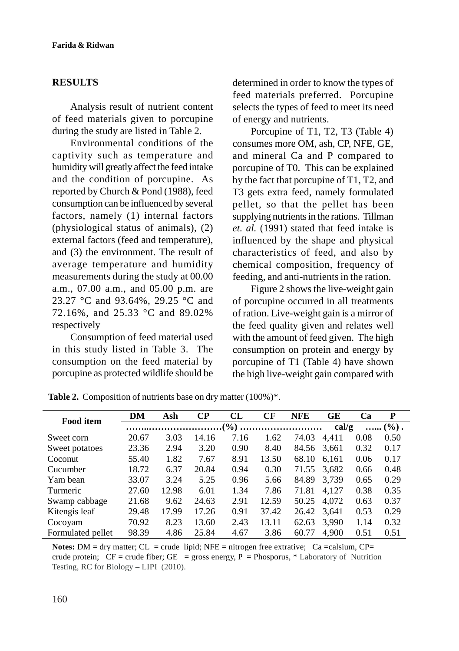### **RESULTS**

Analysis result of nutrient content of feed materials given to porcupine during the study are listed in Table 2.

Environmental conditions of the captivity such as temperature and humidity will greatly affect the feed intake and the condition of porcupine. As reported by Church & Pond (1988), feed consumption can be influenced by several factors, namely (1) internal factors (physiological status of animals), (2) external factors (feed and temperature), and (3) the environment. The result of average temperature and humidity measurements during the study at 00.00 a.m., 07.00 a.m., and 05.00 p.m. are 23.27 °C and 93.64%, 29.25 °C and 72.16%, and 25.33 °C and 89.02% respectively

Consumption of feed material used in this study listed in Table 3. The consumption on the feed material by porcupine as protected wildlife should be determined in order to know the types of feed materials preferred. Porcupine selects the types of feed to meet its need of energy and nutrients.

Porcupine of T1, T2, T3 (Table 4) consumes more OM, ash, CP, NFE, GE, and mineral Ca and P compared to porcupine of T0. This can be explained by the fact that porcupine of T1, T2, and T3 gets extra feed, namely formulated pellet, so that the pellet has been supplying nutrients in the rations. Tillman *et. al.* (1991) stated that feed intake is influenced by the shape and physical characteristics of feed, and also by chemical composition, frequency of feeding, and anti-nutrients in the ration.

Figure 2 shows the live-weight gain of porcupine occurred in all treatments of ration. Live-weight gain is a mirror of the feed quality given and relates well with the amount of feed given. The high consumption on protein and energy by porcupine of T1 (Table 4) have shown the high live-weight gain compared with

| <b>Food item</b>  | DМ    | Ash   | $\bf CP$ | CL   | CF    | <b>NFE</b> | GЕ    | Ca   | P        |
|-------------------|-------|-------|----------|------|-------|------------|-------|------|----------|
|                   |       |       |          |      |       |            | cal/g |      | $(\%)$ . |
| Sweet corn        | 20.67 | 3.03  | 14.16    | 7.16 | 1.62  | 74.03      | 4.411 | 0.08 | 0.50     |
| Sweet potatoes    | 23.36 | 2.94  | 3.20     | 0.90 | 8.40  | 84.56      | 3,661 | 0.32 | 0.17     |
| Coconut           | 55.40 | 1.82  | 7.67     | 8.91 | 13.50 | 68.10      | 6.161 | 0.06 | 0.17     |
| Cucumber          | 18.72 | 6.37  | 20.84    | 0.94 | 0.30  | 71.55      | 3,682 | 0.66 | 0.48     |
| Yam bean          | 33.07 | 3.24  | 5.25     | 0.96 | 5.66  | 84.89      | 3,739 | 0.65 | 0.29     |
| Turmeric          | 27.60 | 12.98 | 6.01     | 1.34 | 7.86  | 71.81      | 4.127 | 0.38 | 0.35     |
| Swamp cabbage     | 21.68 | 9.62  | 24.63    | 2.91 | 12.59 | 50.25      | 4,072 | 0.63 | 0.37     |
| Kitengis leaf     | 29.48 | 17.99 | 17.26    | 0.91 | 37.42 | 26.42      | 3.641 | 0.53 | 0.29     |
| Cocoyam           | 70.92 | 8.23  | 13.60    | 2.43 | 13.11 | 62.63      | 3.990 | 1.14 | 0.32     |
| Formulated pellet | 98.39 | 4.86  | 25.84    | 4.67 | 3.86  | 60.77      | 4.900 | 0.51 | 0.51     |

Table 2. Composition of nutrients base on dry matter  $(100\%)^*$ .

Notes: DM = dry matter; CL = crude lipid; NFE = nitrogen free extrative; Ca = calsium, CP= crude protein;  $CF = crude fiber$ ;  $GE = gross$  energy,  $P = Phosporus$ ,  $*$  Laboratory of Nutrition Testing, RC for Biology – LIPI (2010).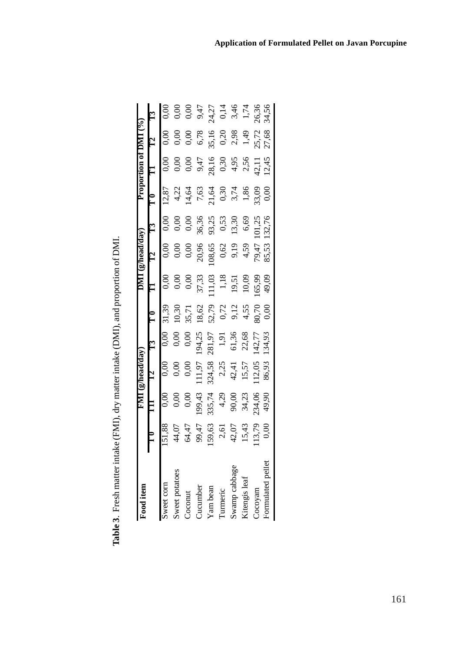| י<br>י<br>ļ<br>.<br>إ |
|-----------------------|
| ı                     |
| I                     |
| í.<br>ĺ               |
|                       |
| Ì                     |
| $\frac{1}{2}$         |
|                       |
|                       |
| ľ                     |
| .<br>.<br>.           |

| <b>Tood</b> item     |                                          | <b>IME</b>                                             |                                          |                                  |                          |                                                                 |                                                          |                        |                         |                         |                                 |                             |
|----------------------|------------------------------------------|--------------------------------------------------------|------------------------------------------|----------------------------------|--------------------------|-----------------------------------------------------------------|----------------------------------------------------------|------------------------|-------------------------|-------------------------|---------------------------------|-----------------------------|
|                      |                                          |                                                        |                                          |                                  |                          |                                                                 | $\epsilon_{\rm L}$ $\epsilon_{\rm L}$ $\epsilon_{\rm L}$ |                        |                         |                         | $T_{12}$                        |                             |
|                      |                                          |                                                        |                                          |                                  |                          |                                                                 | $\frac{1}{0,00}$                                         |                        | 12,87                   |                         |                                 |                             |
|                      |                                          |                                                        |                                          |                                  | 0,30                     |                                                                 | Ō.O                                                      | 0,0                    | 4,22                    | 0.0 <sub>c</sub>        | 0.06                            | 0,0                         |
| <b>Coconut</b>       | 44,07<br>64,47<br>99,47<br>9,63<br>42,07 | 0,00                                                   | 0,00                                     |                                  | 35,71                    | 0,00                                                            | 0,0                                                      | 0,00                   | 14,64                   | 0,00                    | 0,00                            | 0,0                         |
| <b>Jucumber</b>      |                                          |                                                        | 11,97                                    | 194,25                           |                          |                                                                 |                                                          |                        |                         |                         |                                 |                             |
| am bean              |                                          | 199,43<br>335,74<br>335,74<br>90,00<br>34,23<br>334,06 |                                          | 281,97<br>1,91<br>61,36<br>61,36 | $18,62$<br>52,79<br>0,72 | $\begin{array}{c} 37,33 \\ 111,03 \\ 1,18 \\ 19,51 \end{array}$ | $\begin{array}{c} 20,96 \\ 108,65 \\ 0,62 \end{array}$   | 36,36<br>93,25<br>0,53 | $7,63$<br>21,64<br>0,30 | $9,47$<br>28,16<br>0,30 | $6,78$<br>35,16<br>0,20<br>2,98 | $9,47$<br>$24,27$<br>$0,14$ |
| <b>Lurmeric</b>      |                                          |                                                        | $324,58$<br>$2,25$<br>$42,41$<br>$15,57$ |                                  |                          |                                                                 |                                                          |                        |                         |                         |                                 |                             |
| wamp cabbage         |                                          |                                                        |                                          |                                  | 9,12                     |                                                                 | 9,19                                                     | 13,30                  | 3,74                    | $4,95$<br>2,56          |                                 | $3,46$<br>1,74              |
| <b>Gitengis</b> leaf | 15,43                                    |                                                        |                                          |                                  | 4,55                     | 10,09                                                           | $4,59$<br>79,47<br>85,53                                 | 6,69                   | 1,86                    |                         | 1,49                            |                             |
| Cocoyam              | 13,79                                    |                                                        | 112,05                                   | 142,77                           | 30,70<br>0,00            | 65,99                                                           |                                                          | 101,25<br>132,76       | 33,09                   | 42,11<br>12,45          |                                 | 26,36<br>34,56              |
| ormulated pellet     | š                                        | 49,90                                                  | 86,93                                    | 134,93                           |                          | 49,09                                                           |                                                          |                        |                         |                         | 25,72<br>27,68                  |                             |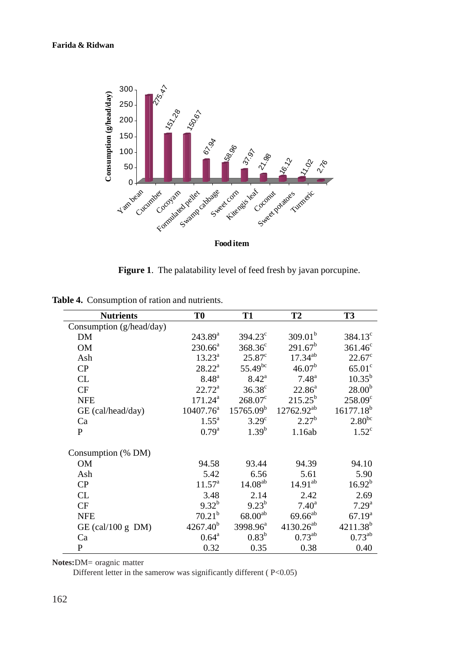

**Figure 1**. The palatability level of feed fresh by javan porcupine.

| <b>Nutrients</b>         | T <sub>0</sub>        | <b>T1</b>            | T <sub>2</sub>      | <b>T3</b>            |
|--------------------------|-----------------------|----------------------|---------------------|----------------------|
| Consumption (g/head/day) |                       |                      |                     |                      |
| DM                       | $243.89^{\rm a}$      | $394.23^{\circ}$     | 309.01 <sup>b</sup> | $384.13^{\circ}$     |
| <b>OM</b>                | $230.66^a$            | $368.36^{\circ}$     | $291.67^b$          | $361.46^c$           |
| Ash                      | $13.23^{\rm a}$       | $25.87^{\circ}$      | $17.34^{ab}$        | $22.67^{\circ}$      |
| CP                       | $28.22^{\rm a}$       | $55.49^{bc}$         | 46.07 <sup>b</sup>  | 65.01 <sup>c</sup>   |
| CL                       | $8.48^{a}$            | $8.42^{\rm a}$       | $7.48^{\rm a}$      | $10.35^{b}$          |
| CF                       | $22.72^{\rm a}$       | $36.38^{\circ}$      | $22.86^a$           | 28.00 <sup>b</sup>   |
| <b>NFE</b>               | $171.24^a$            | $268.07^{\circ}$     | $215.25^{b}$        | $258.09^c$           |
| GE (cal/head/day)        | $10407.76^{\text{a}}$ | $15765.09^b$         | $12762.92^{ab}$     | $16177.18^{b}$       |
| Ca                       | $1.55^{\rm a}$        | $3.29^\circ$         | $2.27^{b}$          | $2.80^{bc}$          |
| P                        | $0.79^{\rm a}$        | $1.39^{b}$           | 1.16ab              | $1.52^{\circ}$       |
| Consumption (% DM)       |                       |                      |                     |                      |
| <b>OM</b>                | 94.58                 | 93.44                | 94.39               | 94.10                |
| Ash                      | 5.42                  | 6.56                 | 5.61                | 5.90                 |
| CP                       | $11.57^{\circ}$       | $14.08^{ab}$         | $14.91^{ab}$        | $16.92^{b}$          |
| CL                       | 3.48                  | 2.14                 | 2.42                | 2.69                 |
| CF                       | $9.32^{b}$            | $9.23^{b}$           | $7.40^{\rm a}$      | 7.29 <sup>a</sup>    |
| <b>NFE</b>               | 70.21 <sup>b</sup>    | $68.00^{ab}$         | $69.66^{ab}$        | $67.19^{a}$          |
| GE (cal/100 g $DM$ )     | $4267.40^{b}$         | 3998.96 <sup>a</sup> | $4130.26^{ab}$      | 4211.38 <sup>b</sup> |
| Ca                       | $0.64^{\rm a}$        | $0.83^{b}$           | $0.73^{ab}$         | $0.73^{ab}$          |
| P                        | 0.32                  | 0.35                 | 0.38                | 0.40                 |

**Table 4.** Consumption of ration and nutrients.

**Notes:**DM= oragnic matter

Different letter in the samerow was significantly different  $(P<0.05)$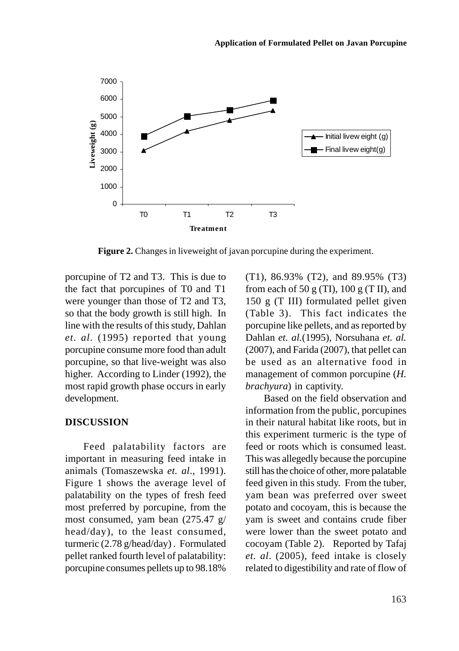

**Figure 2.** Changes in liveweight of javan porcupine during the experiment.

porcupine of T2 and T3. This is due to the fact that porcupines of T0 and T1 were younger than those of T2 and T3, so that the body growth is still high. In line with the results of this study, Dahlan *et. al.* (1995) reported that young porcupine consume more food than adult porcupine, so that live-weight was also higher. According to Linder (1992), the most rapid growth phase occurs in early development.

#### **DISCUSSION**

Feed palatability factors are important in measuring feed intake in animals (Tomaszewska *et. al*., 1991). Figure 1 shows the average level of palatability on the types of fresh feed most preferred by porcupine, from the most consumed, yam bean (275.47 g/ head/day), to the least consumed, turmeric (2.78 g/head/day) . Formulated pellet ranked fourth level of palatability: porcupine consumes pellets up to 98.18%

(T1), 86.93% (T2), and 89.95% (T3) from each of 50 g (TI),  $100 \text{ g}$  (T II), and 150 g (T III) formulated pellet given (Table 3). This fact indicates the porcupine like pellets, and as reported by Dahlan *et. al.*(1995), Norsuhana *et. al.* (2007), and Farida (2007), that pellet can be used as an alternative food in management of common porcupine (*H. brachyura*) in captivity.

Based on the field observation and information from the public, porcupines in their natural habitat like roots, but in this experiment turmeric is the type of feed or roots which is consumed least. This was allegedly because the porcupine still has the choice of other, more palatable feed given in this study. From the tuber, yam bean was preferred over sweet potato and cocoyam, this is because the yam is sweet and contains crude fiber were lower than the sweet potato and cocoyam (Table 2). Reported by Tafaj *et. al*. (2005), feed intake is closely related to digestibility and rate of flow of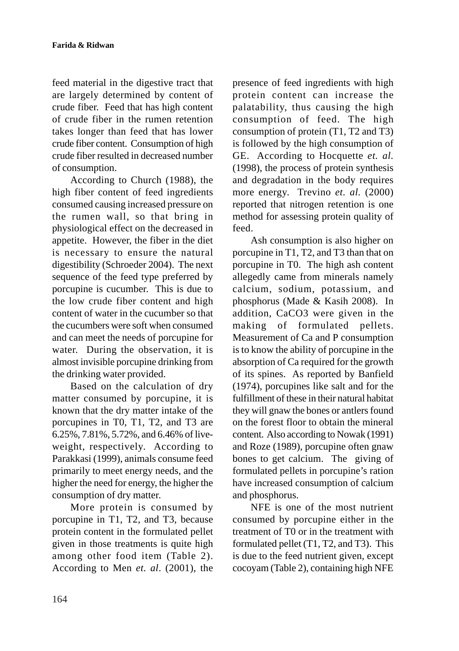feed material in the digestive tract that are largely determined by content of crude fiber. Feed that has high content of crude fiber in the rumen retention takes longer than feed that has lower crude fiber content. Consumption of high crude fiber resulted in decreased number of consumption.

According to Church (1988), the high fiber content of feed ingredients consumed causing increased pressure on the rumen wall, so that bring in physiological effect on the decreased in appetite. However, the fiber in the diet is necessary to ensure the natural digestibility (Schroeder 2004). The next sequence of the feed type preferred by porcupine is cucumber. This is due to the low crude fiber content and high content of water in the cucumber so that the cucumbers were soft when consumed and can meet the needs of porcupine for water. During the observation, it is almost invisible porcupine drinking from the drinking water provided.

Based on the calculation of dry matter consumed by porcupine, it is known that the dry matter intake of the porcupines in T0, T1, T2, and T3 are 6.25%, 7.81%, 5.72%, and 6.46% of liveweight, respectively. According to Parakkasi (1999), animals consume feed primarily to meet energy needs, and the higher the need for energy, the higher the consumption of dry matter.

More protein is consumed by porcupine in T1, T2, and T3, because protein content in the formulated pellet given in those treatments is quite high among other food item (Table 2). According to Men *et. al*. (2001), the presence of feed ingredients with high protein content can increase the palatability, thus causing the high consumption of feed. The high consumption of protein (T1, T2 and T3) is followed by the high consumption of GE. According to Hocquette *et. al.* (1998), the process of protein synthesis and degradation in the body requires more energy. Trevino *et. al.* (2000) reported that nitrogen retention is one method for assessing protein quality of feed.

Ash consumption is also higher on porcupine in T1, T2, and T3 than that on porcupine in T0. The high ash content allegedly came from minerals namely calcium, sodium, potassium, and phosphorus (Made & Kasih 2008). In addition, CaCO3 were given in the making of formulated pellets. Measurement of Ca and P consumption is to know the ability of porcupine in the absorption of Ca required for the growth of its spines. As reported by Banfield (1974), porcupines like salt and for the fulfillment of these in their natural habitat they will gnaw the bones or antlers found on the forest floor to obtain the mineral content. Also according to Nowak (1991) and Roze (1989), porcupine often gnaw bones to get calcium. The giving of formulated pellets in porcupine's ration have increased consumption of calcium and phosphorus.

NFE is one of the most nutrient consumed by porcupine either in the treatment of T0 or in the treatment with formulated pellet (T1, T2, and T3). This is due to the feed nutrient given, except cocoyam (Table 2), containing high NFE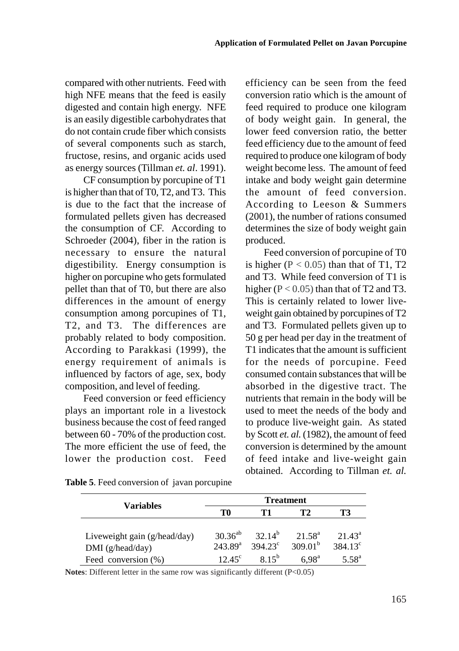compared with other nutrients. Feed with high NFE means that the feed is easily digested and contain high energy. NFE is an easily digestible carbohydrates that do not contain crude fiber which consists of several components such as starch, fructose, resins, and organic acids used as energy sources (Tillman *et. al*. 1991).

CF consumption by porcupine of T1 is higher than that of T0, T2, and T3. This is due to the fact that the increase of formulated pellets given has decreased the consumption of CF. According to Schroeder (2004), fiber in the ration is necessary to ensure the natural digestibility. Energy consumption is higher on porcupine who gets formulated pellet than that of T0, but there are also differences in the amount of energy consumption among porcupines of T1, T2, and T3. The differences are probably related to body composition. According to Parakkasi (1999), the energy requirement of animals is influenced by factors of age, sex, body composition, and level of feeding.

Feed conversion or feed efficiency plays an important role in a livestock business because the cost of feed ranged between 60 - 70% of the production cost. The more efficient the use of feed, the lower the production cost. Feed efficiency can be seen from the feed conversion ratio which is the amount of feed required to produce one kilogram of body weight gain. In general, the lower feed conversion ratio, the better feed efficiency due to the amount of feed required to produce one kilogram of body weight become less. The amount of feed intake and body weight gain determine the amount of feed conversion. According to Leeson & Summers (2001), the number of rations consumed determines the size of body weight gain produced.

Feed conversion of porcupine of T0 is higher  $(P < 0.05)$  than that of T1, T2 and T3. While feed conversion of T1 is higher ( $P < 0.05$ ) than that of T2 and T3. This is certainly related to lower liveweight gain obtained by porcupines of T2 and T3. Formulated pellets given up to 50 g per head per day in the treatment of T1 indicates that the amount is sufficient for the needs of porcupine. Feed consumed contain substances that will be absorbed in the digestive tract. The nutrients that remain in the body will be used to meet the needs of the body and to produce live-weight gain. As stated by Scott *et. al.* (1982), the amount of feed conversion is determined by the amount of feed intake and live-weight gain obtained. According to Tillman *et. al.*

| Variables                      |                     | <b>Treatment</b>   |                     |                  |  |  |  |
|--------------------------------|---------------------|--------------------|---------------------|------------------|--|--|--|
|                                | T0                  | Т1                 | T2                  | T3               |  |  |  |
|                                |                     |                    |                     |                  |  |  |  |
| Liveweight gain $(g/head/day)$ | $30.36^{ab}$        | 32.14 <sup>b</sup> | $21.58^{\rm a}$     | $21.43^a$        |  |  |  |
| DMI (g/head/day)               | 243.89 <sup>a</sup> | $394.23^{\circ}$   | 309.01 <sup>b</sup> | $384.13^{\circ}$ |  |  |  |
| Feed conversion (%)            | $12.45^{\circ}$     | $8.15^{b}$         | 6.98 <sup>a</sup>   | $5.58^{a}$       |  |  |  |

**Table 5**. Feed conversion of javan porcupine

**Notes**: Different letter in the same row was significantly different (P<0.05)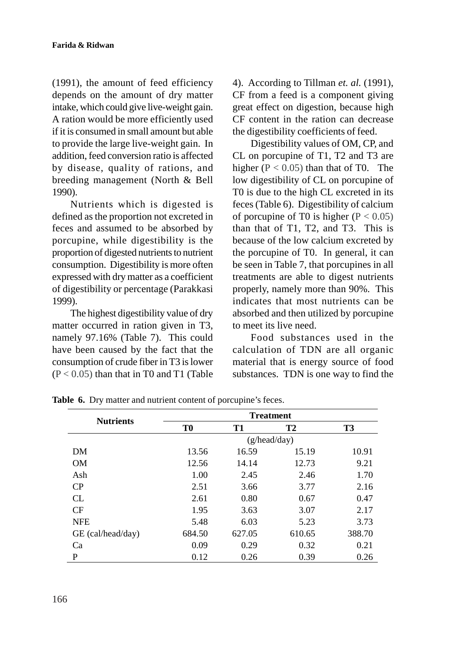(1991), the amount of feed efficiency depends on the amount of dry matter intake, which could give live-weight gain. A ration would be more efficiently used if it is consumed in small amount but able to provide the large live-weight gain. In addition, feed conversion ratio is affected by disease, quality of rations, and breeding management (North & Bell 1990).

Nutrients which is digested is defined as the proportion not excreted in feces and assumed to be absorbed by porcupine, while digestibility is the proportion of digested nutrients to nutrient consumption. Digestibility is more often expressed with dry matter as a coefficient of digestibility or percentage (Parakkasi 1999).

The highest digestibility value of dry matter occurred in ration given in T3, namely 97.16% (Table 7). This could have been caused by the fact that the consumption of crude fiber in T3 is lower  $(P < 0.05)$  than that in T0 and T1 (Table 4). According to Tillman *et. al.* (1991), CF from a feed is a component giving great effect on digestion, because high CF content in the ration can decrease the digestibility coefficients of feed.

Digestibility values of OM, CP, and CL on porcupine of T1, T2 and T3 are higher  $(P < 0.05)$  than that of T0. The low digestibility of CL on porcupine of T0 is due to the high CL excreted in its feces (Table 6). Digestibility of calcium of porcupine of T0 is higher ( $P < 0.05$ ) than that of T1, T2, and T3. This is because of the low calcium excreted by the porcupine of T0. In general, it can be seen in Table 7, that porcupines in all treatments are able to digest nutrients properly, namely more than 90%. This indicates that most nutrients can be absorbed and then utilized by porcupine to meet its live need.

Food substances used in the calculation of TDN are all organic material that is energy source of food substances. TDN is one way to find the

| <b>Nutrients</b>  | <b>Treatment</b> |           |              |           |  |  |
|-------------------|------------------|-----------|--------------|-----------|--|--|
|                   | T0               | <b>T1</b> | <b>T2</b>    | <b>T3</b> |  |  |
|                   |                  |           | (g/head/day) |           |  |  |
| DM                | 13.56            | 16.59     | 15.19        | 10.91     |  |  |
| <b>OM</b>         | 12.56            | 14.14     | 12.73        | 9.21      |  |  |
| Ash               | 1.00             | 2.45      | 2.46         | 1.70      |  |  |
| CP                | 2.51             | 3.66      | 3.77         | 2.16      |  |  |
| CL                | 2.61             | 0.80      | 0.67         | 0.47      |  |  |
| CF                | 1.95             | 3.63      | 3.07         | 2.17      |  |  |
| <b>NFE</b>        | 5.48             | 6.03      | 5.23         | 3.73      |  |  |
| GE (cal/head/day) | 684.50           | 627.05    | 610.65       | 388.70    |  |  |
| Ca                | 0.09             | 0.29      | 0.32         | 0.21      |  |  |
| P                 | 0.12             | 0.26      | 0.39         | 0.26      |  |  |

**Table 6.** Dry matter and nutrient content of porcupine's feces.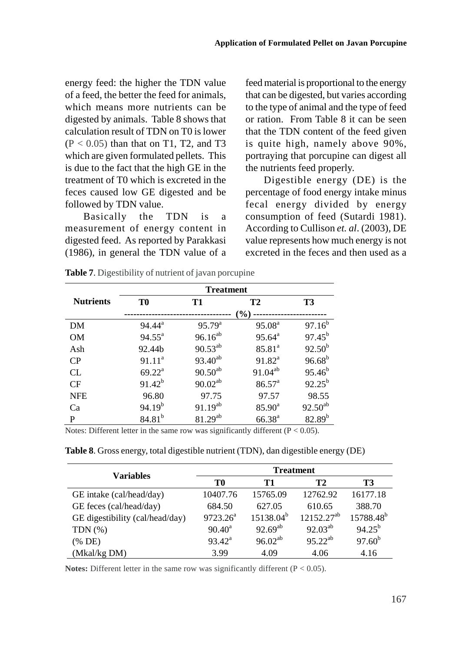energy feed: the higher the TDN value of a feed, the better the feed for animals, which means more nutrients can be digested by animals. Table 8 shows that calculation result of TDN on T0 is lower  $(P < 0.05)$  than that on T1, T2, and T3 which are given formulated pellets. This is due to the fact that the high GE in the treatment of T0 which is excreted in the feces caused low GE digested and be followed by TDN value.

Basically the TDN is a measurement of energy content in digested feed. As reported by Parakkasi (1986), in general the TDN value of a feed material is proportional to the energy that can be digested, but varies according to the type of animal and the type of feed or ration. From Table 8 it can be seen that the TDN content of the feed given is quite high, namely above 90%, portraying that porcupine can digest all the nutrients feed properly.

Digestible energy (DE) is the percentage of food energy intake minus fecal energy divided by energy consumption of feed (Sutardi 1981). According to Cullison *et. al*. (2003), DE value represents how much energy is not excreted in the feces and then used as a

|                  | <b>Treatment</b>   |              |                    |                 |  |  |
|------------------|--------------------|--------------|--------------------|-----------------|--|--|
| <b>Nutrients</b> | T0                 | T1           | <b>T2</b>          | T3              |  |  |
|                  |                    |              | (%)                |                 |  |  |
| DM               | $94.44^{\rm a}$    | $95.79^{a}$  | 95.08 <sup>a</sup> | $97.16^b$       |  |  |
| <b>OM</b>        | $94.55^{\text{a}}$ | $96.16^{ab}$ | $95.64^{\text{a}}$ | $97.45^{\rm b}$ |  |  |
| Ash              | 92.44b             | $90.53^{ab}$ | $85.81^{a}$        | $92.50^{b}$     |  |  |
| CP               | $91.11^a$          | $93.40^{ab}$ | $91.82^a$          | $96.68^{b}$     |  |  |
| CL               | $69.22^{\rm a}$    | $90.50^{ab}$ | $91.04^{ab}$       | $95.46^{b}$     |  |  |
| CF               | $91.42^{b}$        | $90.02^{ab}$ | $86.57^{\circ}$    | $92.25^{b}$     |  |  |
| <b>NFE</b>       | 96.80              | 97.75        | 97.57              | 98.55           |  |  |
| Ca               | $94.19^{b}$        | $91.19^{ab}$ | $85.90^{\circ}$    | $92.50^{ab}$    |  |  |
| P                | $84.81^{b}$        | $81.29^{ab}$ | $66.38^{a}$        | $82.89^{b}$     |  |  |

**Table 7.** Digestibility of nutrient of javan porcupine

Notes: Different letter in the same row was significantly different ( $P < 0.05$ ).

| <b>Variables</b>                |             |                | <b>Treatment</b> |                       |
|---------------------------------|-------------|----------------|------------------|-----------------------|
|                                 | T0          | Т1             | T <sub>2</sub>   | T3                    |
| GE intake (cal/head/day)        | 10407.76    | 15765.09       | 12762.92         | 16177.18              |
| GE feces (cal/head/day)         | 684.50      | 627.05         | 610.65           | 388.70                |
| GE digestibility (cal/head/day) | $9723.26^a$ | $15138.04^{b}$ | $12152.27^{ab}$  | 15788.48 <sup>b</sup> |
| TDN $(\%)$                      | $90.40^a$   | $92.69^{ab}$   | $92.03^{ab}$     | $94.25^{b}$           |
| (% DE)                          | $93.42^a$   | $96.02^{ab}$   | $95.22^{ab}$     | $97.60^{b}$           |
| (Mkal/kg DM)                    | 3.99        | 4.09           | 4.06             | 4.16                  |

**Table 8**. Gross energy, total digestible nutrient (TDN), dan digestible energy (DE)

**Notes:** Different letter in the same row was significantly different (P < 0.05).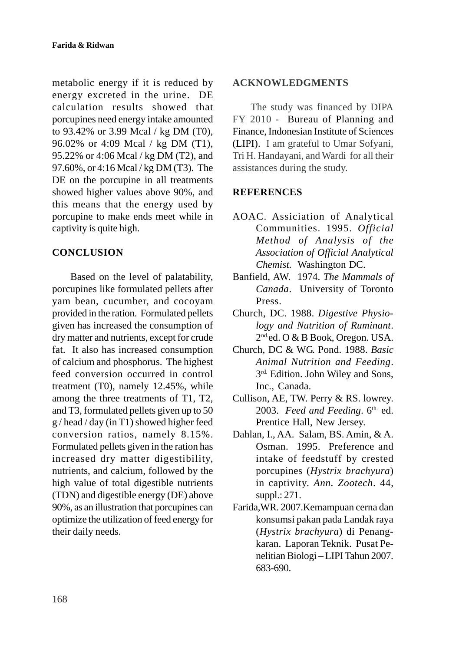metabolic energy if it is reduced by energy excreted in the urine. DE calculation results showed that porcupines need energy intake amounted to 93.42% or 3.99 Mcal / kg DM (T0), 96.02% or 4:09 Mcal / kg DM (T1), 95.22% or 4:06 Mcal / kg DM (T2), and 97.60%, or 4:16 Mcal / kg DM (T3). The DE on the porcupine in all treatments showed higher values above 90%, and this means that the energy used by porcupine to make ends meet while in captivity is quite high.

# **CONCLUSION**

Based on the level of palatability, porcupines like formulated pellets after yam bean, cucumber, and cocoyam provided in the ration. Formulated pellets given has increased the consumption of dry matter and nutrients, except for crude fat. It also has increased consumption of calcium and phosphorus. The highest feed conversion occurred in control treatment (T0), namely 12.45%, while among the three treatments of T1, T2, and T3, formulated pellets given up to 50 g / head / day (in T1) showed higher feed conversion ratios, namely 8.15%. Formulated pellets given in the ration has increased dry matter digestibility, nutrients, and calcium, followed by the high value of total digestible nutrients (TDN) and digestible energy (DE) above 90%, as an illustration that porcupines can optimize the utilization of feed energy for their daily needs.

#### **ACKNOWLEDGMENTS**

The study was financed by DIPA FY 2010 - Bureau of Planning and Finance, Indonesian Institute of Sciences (LIPI). I am grateful to Umar Sofyani, Tri H. Handayani, and Wardi for all their assistances during the study.

### **REFERENCES**

- AOAC. Assiciation of Analytical Communities. 1995. *Official Method of Analysis of the Association of Official Analytical Chemist.* Washington DC.
- Banfield, AW. 1974. *The Mammals of Canada*. University of Toronto Press.
- Church, DC. 1988. *Digestive Physiology and Nutrition of Ruminant*. 2<sup>nd.</sup>ed. O & B Book, Oregon. USA.
- Church, DC & WG. Pond. 1988. *Basic Animal Nutrition and Feeding*. 3rd. Edition. John Wiley and Sons, Inc., Canada.
- Cullison, AE, TW. Perry & RS. lowrey. 2003. *Feed and Feeding*. 6<sup>th.</sup> ed. Prentice Hall, New Jersey.
- Dahlan, I., AA. Salam, BS. Amin, & A. Osman. 1995. Preference and intake of feedstuff by crested porcupines (*Hystrix brachyura*) in captivity. *Ann. Zootech*. 44, suppl.: 271.
- Farida,WR. 2007.Kemampuan cerna dan konsumsi pakan pada Landak raya (*Hystrix brachyura*) di Penangkaran. Laporan Teknik. Pusat Penelitian Biologi – LIPI Tahun 2007. 683-690.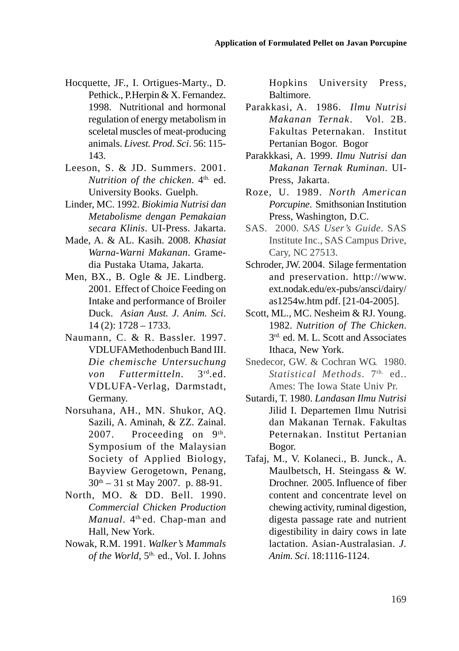- Hocquette, JF., I. Ortigues-Marty., D. Pethick., P.Herpin & X. Fernandez. 1998. Nutritional and hormonal regulation of energy metabolism in sceletal muscles of meat-producing animals. *Livest. Prod. Sci*. 56: 115- 143.
- Leeson, S. & JD. Summers. 2001. *Nutrition of the chicken.* 4<sup>th.</sup> ed. University Books. Guelph.
- Linder, MC. 1992. *Biokimia Nutrisi dan Metabolisme dengan Pemakaian secara Klinis*. UI-Press. Jakarta.
- Made, A. & AL. Kasih. 2008. *Khasiat Warna-Warni Makanan*. Gramedia Pustaka Utama, Jakarta.
- Men, BX., B. Ogle & JE. Lindberg. 2001. Effect of Choice Feeding on Intake and performance of Broiler Duck. *Asian Aust. J. Anim. Sci*. 14 (2): 1728 – 1733.
- Naumann, C. & R. Bassler. 1997. VDLUFAMethodenbuch Band III. *Die chemische Untersuchung von Futtermitteln*. 3rd.ed. VDLUFA-Verlag, Darmstadt, Germany.
- Norsuhana, AH., MN. Shukor, AQ. Sazili, A. Aminah, & ZZ. Zainal. 2007. Proceeding on 9<sup>th</sup>. Symposium of the Malaysian Society of Applied Biology, Bayview Gerogetown, Penang,  $30<sup>th</sup> - 31$  st May 2007. p. 88-91.
- North, MO. & DD. Bell. 1990. *Commercial Chicken Production Manual*. 4<sup>th</sup>ed. Chap-man and Hall, New York.
- Nowak, R.M. 1991. *Walker's Mammals* of the World, 5<sup>th.</sup> ed., Vol. I. Johns

Hopkins University Press, Baltimore.

- Parakkasi, A. 1986. *Ilmu Nutrisi Makanan Ternak*. Vol. 2B. Fakultas Peternakan. Institut Pertanian Bogor. Bogor
- Parakkkasi, A. 1999. *Ilmu Nutrisi dan Makanan Ternak Ruminan*. UI-Press, Jakarta.
- Roze, U. 1989. *North American Porcupine*. Smithsonian Institution Press, Washington, D.C.
- SAS.2000. *SAS User's Guide*. SAS Institute Inc., SAS Campus Drive, Cary, NC 27513.
- Schroder, JW. 2004. Silage fermentation and preservation. http://www. ext.nodak.edu/ex-pubs/ansci/dairy/ as1254w.htm pdf. [21-04-2005].
- Scott, ML., MC. Nesheim & RJ. Young. 1982. *Nutrition of The Chicken*. 3rd. ed. M. L. Scott and Associates Ithaca, New York.
- Snedecor, GW. & Cochran WG. 1980. Statistical Methods. 7<sup>th.</sup> ed.. Ames: The Iowa State Univ Pr.
- Sutardi, T. 1980. *Landasan Ilmu Nutrisi* Jilid I. Departemen Ilmu Nutrisi dan Makanan Ternak. Fakultas Peternakan. Institut Pertanian Bogor.
- Tafaj, M., V. Kolaneci., B. Junck., A. Maulbetsch, H. Steingass & W. Drochner.2005. Influence of fiber content and concentrate level on chewing activity, ruminal digestion, digesta passage rate and nutrient digestibility in dairy cows in late lactation. Asian-Australasian. *J. Anim. Sci*. 18:1116-1124.